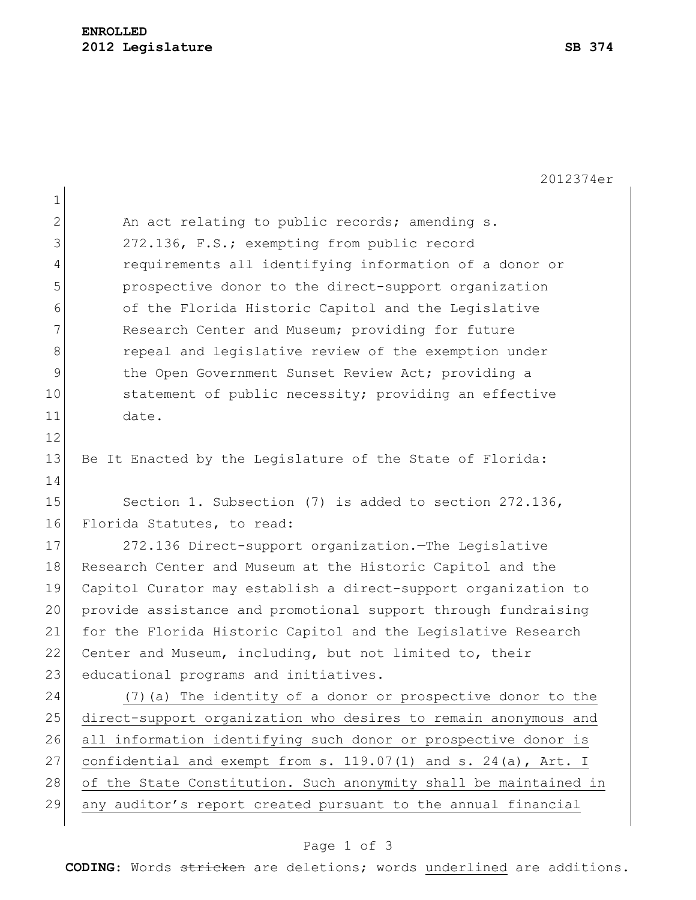1 2 An act relating to public records; amending s. 3 272.136, F.S.; exempting from public record 4 requirements all identifying information of a donor or 5 prospective donor to the direct-support organization 6 of the Florida Historic Capitol and the Legislative 7 Research Center and Museum; providing for future 8 8 repeal and legislative review of the exemption under 9 10 12 the Open Government Sunset Review Act; providing a 10 statement of public necessity; providing an effective 11 date. 12 13 Be It Enacted by the Legislature of the State of Florida: 14 15 Section 1. Subsection (7) is added to section 272.136, 16 Florida Statutes, to read: 17 272.136 Direct-support organization.—The Legislative 18 Research Center and Museum at the Historic Capitol and the 19 Capitol Curator may establish a direct-support organization to 20 provide assistance and promotional support through fundraising 21 for the Florida Historic Capitol and the Legislative Research 22 Center and Museum, including, but not limited to, their 23 educational programs and initiatives. 24 (7)(a) The identity of a donor or prospective donor to the 25 direct-support organization who desires to remain anonymous and 26 all information identifying such donor or prospective donor is 27 confidential and exempt from s. 119.07(1) and s. 24(a), Art. I 28 of the State Constitution. Such anonymity shall be maintained in 29 any auditor's report created pursuant to the annual financial

## Page 1 of 3

**CODING**: Words stricken are deletions; words underlined are additions.

2012374er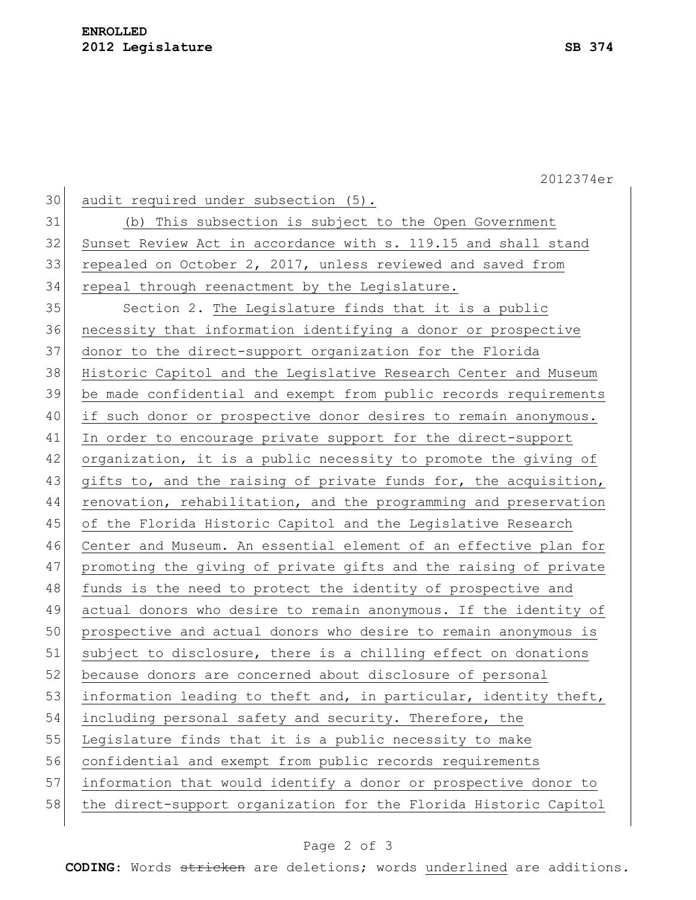2012374er 30 audit required under subsection (5). 31 (b) This subsection is subject to the Open Government 32 Sunset Review Act in accordance with s. 119.15 and shall stand 33 repealed on October 2, 2017, unless reviewed and saved from 34 repeal through reenactment by the Legislature. 35 Section 2. The Legislature finds that it is a public 36 necessity that information identifying a donor or prospective 37 donor to the direct-support organization for the Florida 38 Historic Capitol and the Legislative Research Center and Museum 39 be made confidential and exempt from public records requirements 40 if such donor or prospective donor desires to remain anonymous. 41 In order to encourage private support for the direct-support 42 organization, it is a public necessity to promote the giving of 43 gifts to, and the raising of private funds for, the acquisition, 44 renovation, rehabilitation, and the programming and preservation 45 of the Florida Historic Capitol and the Legislative Research 46 Center and Museum. An essential element of an effective plan for 47 promoting the giving of private gifts and the raising of private 48 funds is the need to protect the identity of prospective and 49 actual donors who desire to remain anonymous. If the identity of 50 prospective and actual donors who desire to remain anonymous is 51 subject to disclosure, there is a chilling effect on donations 52 because donors are concerned about disclosure of personal 53 information leading to theft and, in particular, identity theft, 54 including personal safety and security. Therefore, the 55 Legislature finds that it is a public necessity to make 56 confidential and exempt from public records requirements 57 information that would identify a donor or prospective donor to 58 the direct-support organization for the Florida Historic Capitol

## Page 2 of 3

**CODING**: Words stricken are deletions; words underlined are additions.